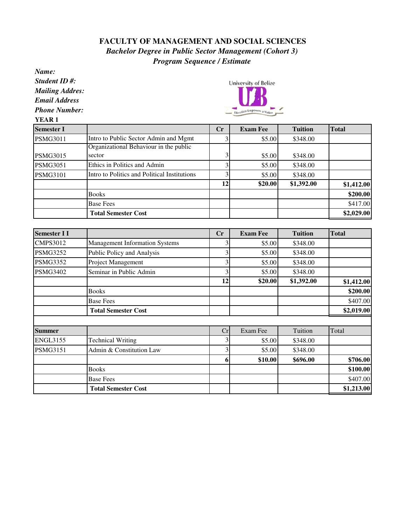## **FACULTY OF MANAGEMENT AND SOCIAL SCIENCES** *Bachelor Degree in Public Sector Management (Cohort 3) Program Sequence / Estimate*

*Name: Student ID #:* University of Belize *Mailing Addres: Email Address Phone Number:* ation Empowers a Nation **YEAR 1 Semester I Cr Exam Fee Tuition Total** PSMG3011 Intro to Public Sector Admin and Mgmt 3 \$5.00 \$348.00 Organizational Behaviour in the public PSMG3015 sector 3 \$5.00 \$348.00  $PSMG3051$  Ethics in Politics and Admin  $\begin{array}{|c|c|c|c|c|c|c|c|} \hline & 3 & 0.00 & 0.348.00 & \hline \end{array}$ PSMG3101 Intro to Politics and Political Institutions  $\begin{bmatrix} 3 & 5.00 & 5348.00 \end{bmatrix}$ **12 \$20.00 \$1,392.00 \$1,412.00 Books** \$200.00 Base Fees \$417.00 **Total Semester Cost**  $\qquad$  **52,029.00 Semester I I Cr Exam Fee Tuition Total** CMPS3012 Management Information Systems 3  $\qquad$  3 \$5.00 \$348.00 PSMG3252 Public Policy and Analysis 1 3 \$5.00 \$348.00 PSMG3352 Project Management 3 \$5.00 \$348.00 PSMG3402 Seminar in Public Admin 3 3 3 55.00 \$348.00 **12 \$20.00 \$1,392.00 \$1,412.00 Books** \$200.00 Base Fees \$407.00  **Total Semester Cost \$2,019.00 Summer** and **Criminal Criminal Criminal Criminal Criminal Criminal Criminal Criminal Criminal Criminal Criminal Criminal Criminal Criminal Criminal Criminal Criminal Criminal Criminal Criminal Criminal Criminal Criminal C** ENGL3155 Technical Writing  $\begin{array}{ccc} 3 & 3 & 55.00 & 5348.00 \end{array}$ PSMG3151 Admin & Constitution Law 1 3 \$5.00 \$348.00 **6** \$10.00 \$696.00 \$706.00 **Books** \$100.00 Base Fees \$407.00 **Total Semester Cost**  $\qquad 1,213.00$